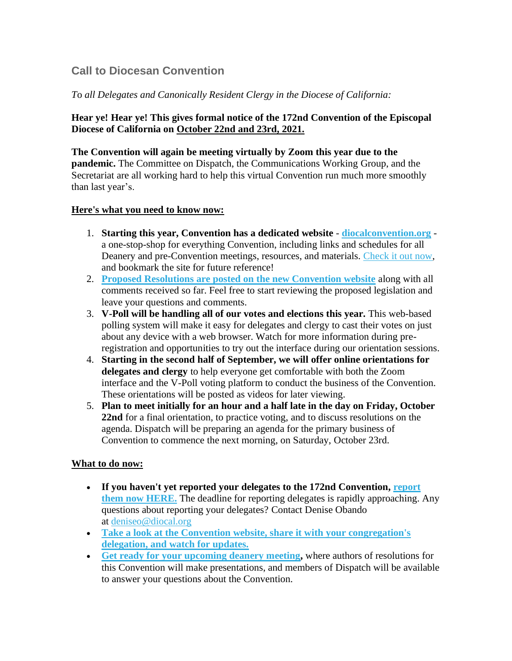# **Call to Diocesan Convention**

## *T*o *all Delegates and Canonically Resident Clergy in the Diocese of California:*

## **Hear ye! Hear ye! This gives formal notice of the 172nd Convention of the Episcopal Diocese of California on October 22nd and 23rd, 2021.**

**The Convention will again be meeting virtually by Zoom this year due to the pandemic.** The Committee on Dispatch, the Communications Working Group, and the Secretariat are all working hard to help this virtual Convention run much more smoothly than last year's.

### **Here's what you need to know now:**

- 1. **Starting this year, Convention has a dedicated website [diocalconvention.org](https://diocal.us13.list-manage.com/track/click?u=55a4c86d3e04b0a68eba23b20&id=9cd50771d5&e=ae72fdd2dc)** a one-stop-shop for everything Convention, including links and schedules for all Deanery and pre-Convention meetings, resources, and materials. [Check it out now,](https://diocal.us13.list-manage.com/track/click?u=55a4c86d3e04b0a68eba23b20&id=970664911d&e=ae72fdd2dc) and bookmark the site for future reference!
- 2. **Proposed [Resolutions are posted on the new Convention website](https://diocal.us13.list-manage.com/track/click?u=55a4c86d3e04b0a68eba23b20&id=acedc639f9&e=ae72fdd2dc)** along with all comments received so far. Feel free to start reviewing the proposed legislation and leave your questions and comments.
- 3. **V-Poll will be handling all of our votes and elections this year.** This web-based polling system will make it easy for delegates and clergy to cast their votes on just about any device with a web browser. Watch for more information during preregistration and opportunities to try out the interface during our orientation sessions.
- 4. **Starting in the second half of September, we will offer online orientations for delegates and clergy** to help everyone get comfortable with both the Zoom interface and the V-Poll voting platform to conduct the business of the Convention. These orientations will be posted as videos for later viewing.
- 5. **Plan to meet initially for an hour and a half late in the day on Friday, October 22nd** for a final orientation, to practice voting, and to discuss resolutions on the agenda. Dispatch will be preparing an agenda for the primary business of Convention to commence the next morning, on Saturday, October 23rd.

### **What to do now:**

- **If you haven't yet reported your delegates to the 172nd Convention, [report](https://diocal.us13.list-manage.com/track/click?u=55a4c86d3e04b0a68eba23b20&id=a0d57a7a23&e=ae72fdd2dc)  [them now HERE.](https://diocal.us13.list-manage.com/track/click?u=55a4c86d3e04b0a68eba23b20&id=a0d57a7a23&e=ae72fdd2dc)** The deadline for reporting delegates is rapidly approaching. Any questions about reporting your delegates? Contact Denise Obando at [deniseo@diocal.org](mailto:deniseo@diocal.org)
- **[Take a look at the Convention website, share it with your congregation's](https://diocal.us13.list-manage.com/track/click?u=55a4c86d3e04b0a68eba23b20&id=934ee65bbc&e=ae72fdd2dc)  [delegation, and watch for updates.](https://diocal.us13.list-manage.com/track/click?u=55a4c86d3e04b0a68eba23b20&id=934ee65bbc&e=ae72fdd2dc)**
- **[Get ready for your upcoming deanery meeting,](https://diocal.us13.list-manage.com/track/click?u=55a4c86d3e04b0a68eba23b20&id=d33d71393c&e=ae72fdd2dc)** where authors of resolutions for this Convention will make presentations, and members of Dispatch will be available to answer your questions about the Convention.